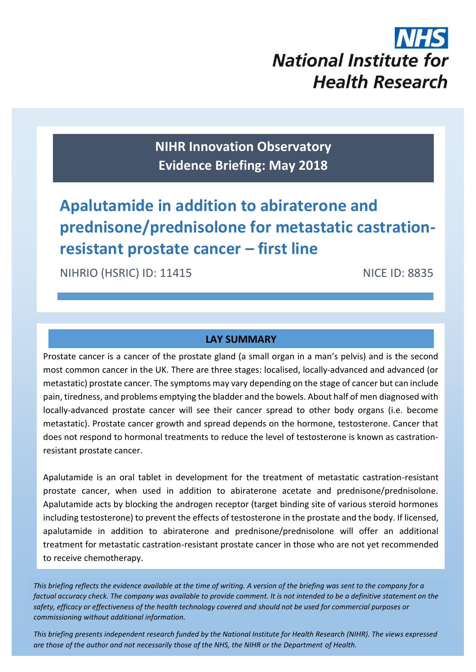# **National Institute for Health Research**

**NIHR Innovation Observatory Evidence Briefing: May 2018**

# **Apalutamide in addition to abiraterone and prednisone/prednisolone for metastatic castrationresistant prostate cancer – first line**

NICE ID: 88355 ST 2005 ST 2005 ST 2005 ST 2005 ST 2005 ST 2005

NIHRIO (HSRIC) ID: 11415 NICE ID: 8835

# **LAY SUMMARY**

Prostate cancer is a cancer of the prostate gland (a small organ in a man's pelvis) and is the second most common cancer in the UK. There are three stages: localised, locally-advanced and advanced (or metastatic) prostate cancer. The symptoms may vary depending on the stage of cancer but can include pain, tiredness, and problems emptying the bladder and the bowels. About half of men diagnosed with locally-advanced prostate cancer will see their cancer spread to other body organs (i.e. become metastatic). Prostate cancer growth and spread depends on the hormone, testosterone. Cancer that does not respond to hormonal treatments to reduce the level of testosterone is known as castration‐ resistant prostate cancer.

Apalutamide is an oral tablet in development for the treatment of metastatic castration-resistant prostate cancer, when used in addition to abiraterone acetate and prednisone/prednisolone. Apalutamide acts by blocking the androgen receptor (target binding site of various steroid hormones including testosterone) to prevent the effects of testosterone in the prostate and the body. If licensed, apalutamide in addition to abiraterone and prednisone/prednisolone will offer an additional treatment for metastatic castration-resistant prostate cancer in those who are not yet recommended to receive chemotherapy.

*This briefing reflects the evidence available at the time of writing. A version of the briefing was sent to the company for a factual accuracy check. The company was available to provide comment. It is not intended to be a definitive statement on the safety, efficacy or effectiveness of the health technology covered and should not be used for commercial purposes or commissioning without additional information.*

1 *This briefing presents independent research funded by the National Institute for Health Research (NIHR). The views expressed are those of the author and not necessarily those of the NHS, the NIHR or the Department of Health.*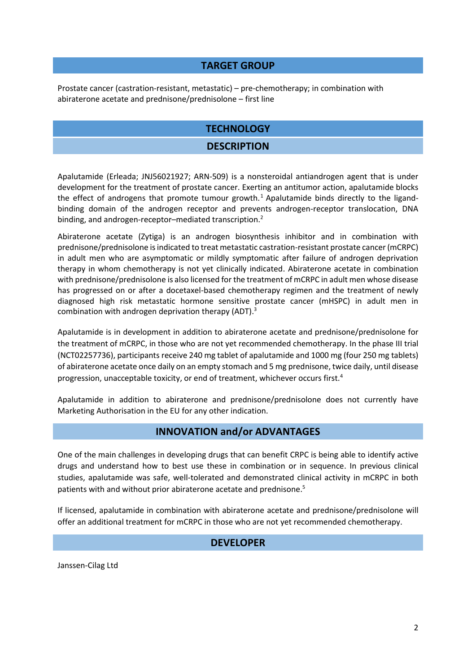#### **TARGET GROUP**

Prostate cancer (castration-resistant, metastatic) – pre-chemotherapy; in combination with abiraterone acetate and prednisone/prednisolone – first line

#### **TECHNOLOGY**

#### **DESCRIPTION**

Apalutamide (Erleada; JNJ56021927; ARN-509) is a nonsteroidal antiandrogen agent that is under development for the treatment of prostate cancer. Exerting an antitumor action, apalutamide blocks the effect of androgens that promote tumour growth.<sup>1</sup> Apalutamide binds directly to the ligandbinding domain of the androgen receptor and prevents androgen-receptor translocation, DNA binding, and androgen-receptor–mediated transcription.<sup>2</sup>

Abiraterone acetate (Zytiga) is an androgen biosynthesis inhibitor and in combination with prednisone/prednisolone is indicated to treat metastatic castration-resistant prostate cancer (mCRPC) in adult men who are asymptomatic or mildly symptomatic after failure of androgen deprivation therapy in whom chemotherapy is not yet clinically indicated. Abiraterone acetate in combination with prednisone/prednisolone is also licensed for the treatment of mCRPC in adult men whose disease has progressed on or after a docetaxel-based chemotherapy regimen and the treatment of newly diagnosed high risk metastatic hormone sensitive prostate cancer (mHSPC) in adult men in combination with androgen deprivation therapy (ADT). 3

Apalutamide is in development in addition to abiraterone acetate and prednisone/prednisolone for the treatment of mCRPC, in those who are not yet recommended chemotherapy. In the phase III trial (NCT02257736), participants receive 240 mg tablet of apalutamide and 1000 mg (four 250 mg tablets) of abiraterone acetate once daily on an empty stomach and 5 mg prednisone, twice daily, until disease progression, unacceptable toxicity, or end of treatment, whichever occurs first.<sup>4</sup>

Apalutamide in addition to abiraterone and prednisone/prednisolone does not currently have Marketing Authorisation in the EU for any other indication.

#### <span id="page-1-0"></span>**INNOVATION and/or ADVANTAGES**

One of the main challenges in developing drugs that can benefit CRPC is being able to identify active drugs and understand how to best use these in combination or in sequence. In previous clinical studies, apalutamide was safe, well-tolerated and demonstrated clinical activity in mCRPC in both patients with and without prior abiraterone acetate and prednisone.<sup>5</sup>

If licensed, apalutamide in combination with abiraterone acetate and prednisone/prednisolone will offer an additional treatment for mCRPC in those who are not yet recommended chemotherapy.

#### **DEVELOPER**

Janssen-Cilag Ltd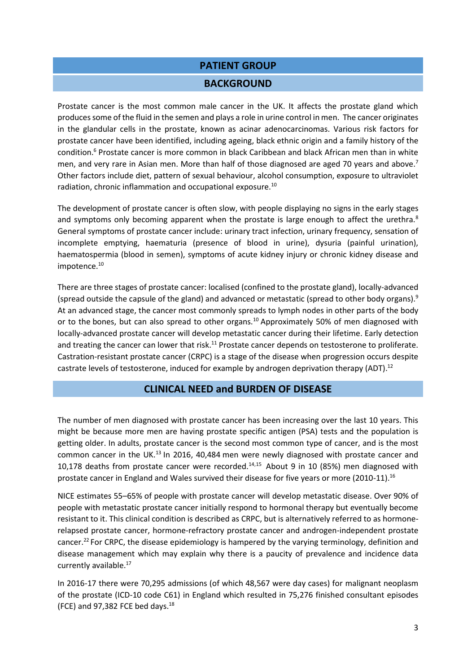#### **PATIENT GROUP**

#### **BACKGROUND**

Prostate cancer is the most common male cancer in the UK. It affects the prostate gland which produces some of the fluid in the semen and plays a role in urine control in men. The cancer originates in the glandular cells in the prostate, known as acinar adenocarcinomas. Various risk factors for prostate cancer have been identified, including ageing, black ethnic origin and a family history of the condition.<sup>6</sup> Prostate cancer is more common in black Caribbean and black African men than in white men, and very rare in Asian men. More than half of those diagnosed are aged 70 years and above.<sup>7</sup> Other factors include diet, pattern of sexual behaviour, alcohol consumption, exposure to ultraviolet radiation, chronic inflammation and occupational exposure.<sup>[10](#page-2-0)</sup>

The development of prostate cancer is often slow, with people displaying no signs in the early stages and symptoms only becoming apparent when the prostate is large enough to affect the urethra. $8$ General symptoms of prostate cancer include: urinary tract infection, urinary frequency, sensation of incomplete emptying, haematuria (presence of blood in urine), dysuria (painful urination), haematospermia (blood in semen), symptoms of acute kidney injury or chronic kidney disease and impotence.<sup>[10](#page-2-0)</sup>

There are three stages of prostate cancer: localised (confined to the prostate gland), locally-advanced (spread outside the capsule of the gland) and advanced or metastatic (spread to other body organs).<sup>9</sup> At an advanced stage, the cancer most commonly spreads to lymph nodes in other parts of the body or to the bones, but can also spread to other organs.<sup>10</sup> Approximately 50% of men diagnosed with locally-advanced prostate cancer will develop metastatic cancer during their lifetime. Early detection and treating the cancer can lower that risk.<sup>11</sup> Prostate cancer depends on testosterone to proliferate. Castration-resistant prostate cancer (CRPC) is a stage of the disease when progression occurs despite castrate levels of testosterone, induced for example by androgen deprivation therapy (ADT).<sup>12</sup>

#### <span id="page-2-0"></span>**CLINICAL NEED and BURDEN OF DISEASE**

The number of men diagnosed with prostate cancer has been increasing over the last 10 years. This might be because more men are having prostate specific antigen (PSA) tests and the population is getting older. In adults, prostate cancer is the second most common type of cancer, and is the most common cancer in the UK. $^{13}$  In 2016, 40,484 men were newly diagnosed with prostate cancer and 10,178 deaths from prostate cancer were recorded.14,15 About 9 in 10 (85%) men diagnosed with prostate cancer in England and Wales survived their disease for five years or more (2010-11).<sup>16</sup>

NICE estimates 55–65% of people with prostate cancer will develop metastatic disease. Over 90% of people with metastatic prostate cancer initially respond to hormonal therapy but eventually become resistant to it. This clinical condition is described as CRPC, but is alternatively referred to as hormonerelapsed prostate cancer, hormone-refractory prostate cancer and androgen-independent prostate cancer.<sup>[22](#page-4-0)</sup> For CRPC, the disease epidemiology is hampered by the varying terminology, definition and disease management which may explain why there is a paucity of prevalence and incidence data currently available.<sup>17</sup>

In 2016-17 there were 70,295 admissions (of which 48,567 were day cases) for malignant neoplasm of the prostate (ICD-10 code C61) in England which resulted in 75,276 finished consultant episodes (FCE) and 97,382 FCE bed days. 18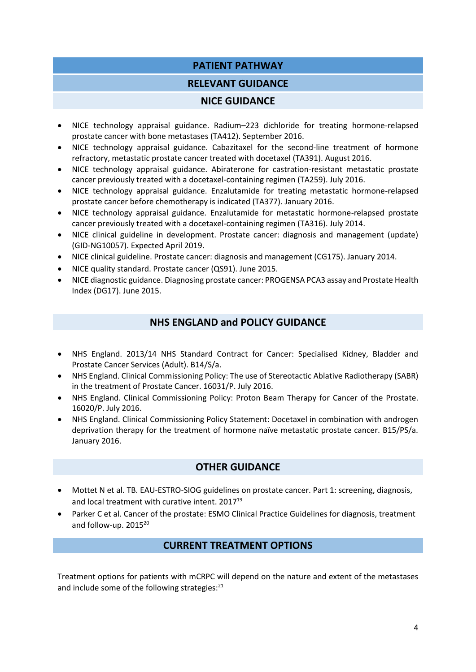### **PATIENT PATHWAY**

#### **RELEVANT GUIDANCE**

#### **NICE GUIDANCE**

- NICE technology appraisal guidance. Radium–223 dichloride for treating hormone-relapsed prostate cancer with bone metastases (TA412). September 2016.
- NICE technology appraisal guidance. Cabazitaxel for the second-line treatment of hormone refractory, metastatic prostate cancer treated with docetaxel (TA391). August 2016.
- NICE technology appraisal guidance. Abiraterone for castration-resistant metastatic prostate cancer previously treated with a docetaxel-containing regimen (TA259). July 2016.
- NICE technology appraisal guidance. Enzalutamide for treating metastatic hormone-relapsed prostate cancer before chemotherapy is indicated (TA377). January 2016.
- NICE technology appraisal guidance. Enzalutamide for metastatic hormone-relapsed prostate cancer previously treated with a docetaxel-containing regimen (TA316). July 2014.
- NICE clinical guideline in development. Prostate cancer: diagnosis and management (update) (GID-NG10057). Expected April 2019.
- NICE clinical guideline. Prostate cancer: diagnosis and management (CG175). January 2014.
- NICE quality standard. Prostate cancer (QS91). June 2015.
- NICE diagnostic guidance. Diagnosing prostate cancer: PROGENSA PCA3 assay and Prostate Health Index (DG17). June 2015.

#### **NHS ENGLAND and POLICY GUIDANCE**

- NHS England. 2013/14 NHS Standard Contract for Cancer: Specialised Kidney, Bladder and Prostate Cancer Services (Adult). B14/S/a.
- NHS England. Clinical Commissioning Policy: The use of Stereotactic Ablative Radiotherapy (SABR) in the treatment of Prostate Cancer. 16031/P. July 2016.
- NHS England. Clinical Commissioning Policy: Proton Beam Therapy for Cancer of the Prostate. 16020/P. July 2016.
- NHS England. Clinical Commissioning Policy Statement: Docetaxel in combination with androgen deprivation therapy for the treatment of hormone naïve metastatic prostate cancer. B15/PS/a. January 2016.

#### **OTHER GUIDANCE**

- Mottet N et al. TB. EAU-ESTRO-SIOG guidelines on prostate cancer. Part 1: screening, diagnosis, and local treatment with curative intent. 2017<sup>19</sup>
- Parker C et al. Cancer of the prostate: ESMO Clinical Practice Guidelines for diagnosis, treatment and follow-up. 2015<sup>20</sup>

#### **CURRENT TREATMENT OPTIONS**

Treatment options for patients with mCRPC will depend on the nature and extent of the metastases and include some of the following strategies: $^{21}$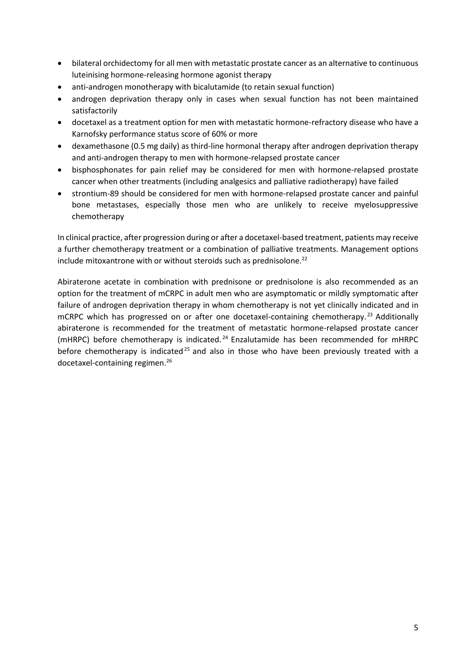- bilateral orchidectomy for all men with metastatic prostate cancer as an alternative to continuous luteinising hormone-releasing hormone agonist therapy
- anti-androgen monotherapy with bicalutamide (to retain sexual function)
- androgen deprivation therapy only in cases when sexual function has not been maintained satisfactorily
- docetaxel as a treatment option for men with metastatic hormone-refractory disease who have a Karnofsky performance status score of 60% or more
- dexamethasone (0.5 mg daily) as third-line hormonal therapy after androgen deprivation therapy and anti-androgen therapy to men with hormone-relapsed prostate cancer
- bisphosphonates for pain relief may be considered for men with hormone-relapsed prostate cancer when other treatments (including analgesics and palliative radiotherapy) have failed
- strontium-89 should be considered for men with hormone-relapsed prostate cancer and painful bone metastases, especially those men who are unlikely to receive myelosuppressive chemotherapy

In clinical practice, after progression during or after a docetaxel-based treatment, patients may receive a further chemotherapy treatment or a combination of palliative treatments. Management options include mitoxantrone with or without steroids such as prednisolone.<sup>22</sup>

<span id="page-4-0"></span>Abiraterone acetate in combination with prednisone or prednisolone is also recommended as an option for the treatment of mCRPC in adult men who are asymptomatic or mildly symptomatic after failure of androgen deprivation therapy in whom chemotherapy is not yet clinically indicated and in mCRPC which has progressed on or after one docetaxel-containing chemotherapy.<sup>23</sup> Additionally abiraterone is recommended for the treatment of metastatic hormone-relapsed prostate cancer (mHRPC) before chemotherapy is indicated. <sup>24</sup> Enzalutamide has been recommended for mHRPC before chemotherapy is indicated<sup>25</sup> and also in those who have been previously treated with a docetaxel-containing regimen. 26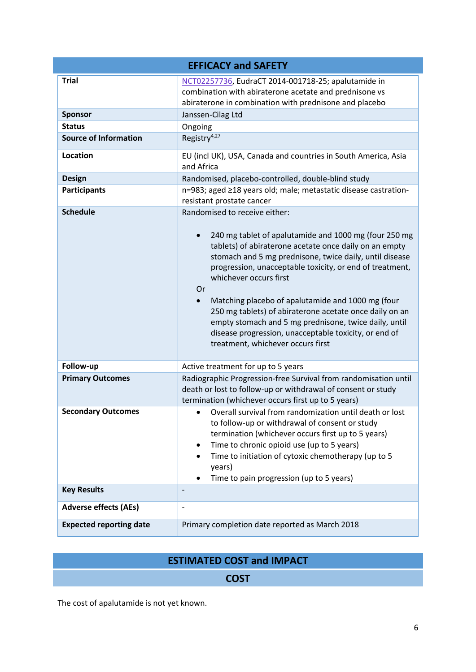| <b>EFFICACY and SAFETY</b>     |                                                                                                                                                                                                                                                                                                                                                                                                                                                                                                                                                                                                          |  |  |  |
|--------------------------------|----------------------------------------------------------------------------------------------------------------------------------------------------------------------------------------------------------------------------------------------------------------------------------------------------------------------------------------------------------------------------------------------------------------------------------------------------------------------------------------------------------------------------------------------------------------------------------------------------------|--|--|--|
| <b>Trial</b>                   | NCT02257736, EudraCT 2014-001718-25; apalutamide in<br>combination with abiraterone acetate and prednisone vs<br>abiraterone in combination with prednisone and placebo                                                                                                                                                                                                                                                                                                                                                                                                                                  |  |  |  |
| <b>Sponsor</b>                 | Janssen-Cilag Ltd                                                                                                                                                                                                                                                                                                                                                                                                                                                                                                                                                                                        |  |  |  |
| <b>Status</b>                  | Ongoing                                                                                                                                                                                                                                                                                                                                                                                                                                                                                                                                                                                                  |  |  |  |
| <b>Source of Information</b>   | Registry <sup>4,27</sup>                                                                                                                                                                                                                                                                                                                                                                                                                                                                                                                                                                                 |  |  |  |
| Location                       | EU (incl UK), USA, Canada and countries in South America, Asia<br>and Africa                                                                                                                                                                                                                                                                                                                                                                                                                                                                                                                             |  |  |  |
| <b>Design</b>                  | Randomised, placebo-controlled, double-blind study                                                                                                                                                                                                                                                                                                                                                                                                                                                                                                                                                       |  |  |  |
| <b>Participants</b>            | n=983; aged ≥18 years old; male; metastatic disease castration-<br>resistant prostate cancer                                                                                                                                                                                                                                                                                                                                                                                                                                                                                                             |  |  |  |
| <b>Schedule</b>                | Randomised to receive either:<br>240 mg tablet of apalutamide and 1000 mg (four 250 mg<br>$\bullet$<br>tablets) of abiraterone acetate once daily on an empty<br>stomach and 5 mg prednisone, twice daily, until disease<br>progression, unacceptable toxicity, or end of treatment,<br>whichever occurs first<br>0r<br>Matching placebo of apalutamide and 1000 mg (four<br>$\bullet$<br>250 mg tablets) of abiraterone acetate once daily on an<br>empty stomach and 5 mg prednisone, twice daily, until<br>disease progression, unacceptable toxicity, or end of<br>treatment, whichever occurs first |  |  |  |
| Follow-up                      | Active treatment for up to 5 years                                                                                                                                                                                                                                                                                                                                                                                                                                                                                                                                                                       |  |  |  |
| <b>Primary Outcomes</b>        | Radiographic Progression-free Survival from randomisation until<br>death or lost to follow-up or withdrawal of consent or study<br>termination (whichever occurs first up to 5 years)                                                                                                                                                                                                                                                                                                                                                                                                                    |  |  |  |
| <b>Secondary Outcomes</b>      | Overall survival from randomization until death or lost<br>$\bullet$<br>to follow-up or withdrawal of consent or study<br>termination (whichever occurs first up to 5 years)<br>Time to chronic opioid use (up to 5 years)<br>٠<br>Time to initiation of cytoxic chemotherapy (up to 5<br>years)<br>Time to pain progression (up to 5 years)                                                                                                                                                                                                                                                             |  |  |  |
| <b>Key Results</b>             |                                                                                                                                                                                                                                                                                                                                                                                                                                                                                                                                                                                                          |  |  |  |
| <b>Adverse effects (AEs)</b>   | $\overline{a}$                                                                                                                                                                                                                                                                                                                                                                                                                                                                                                                                                                                           |  |  |  |
| <b>Expected reporting date</b> | Primary completion date reported as March 2018                                                                                                                                                                                                                                                                                                                                                                                                                                                                                                                                                           |  |  |  |

# **ESTIMATED COST and IMPACT**

# **COST**

The cost of apalutamide is not yet known.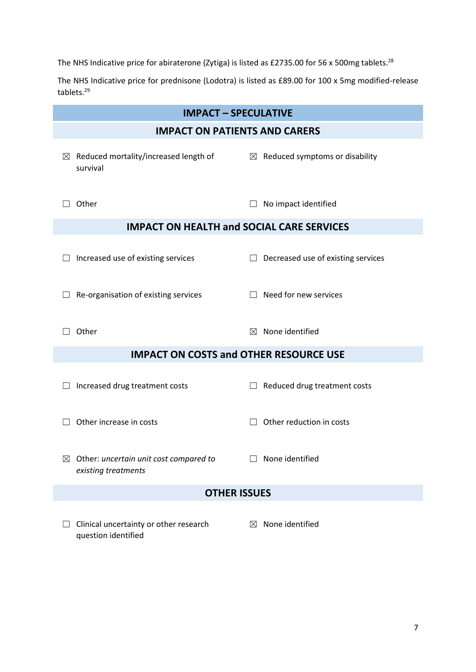The NHS Indicative price for abiraterone (Zytiga) is listed as £2735.00 for 56 x 500mg tablets.<sup>28</sup>

The NHS Indicative price for prednisone (Lodotra) is listed as £89.00 for 100 x 5mg modified-release tablets.<sup>29</sup>

| <b>IMPACT - SPECULATIVE</b>                      |                                                                           |             |                                            |  |
|--------------------------------------------------|---------------------------------------------------------------------------|-------------|--------------------------------------------|--|
| <b>IMPACT ON PATIENTS AND CARERS</b>             |                                                                           |             |                                            |  |
| $\boxtimes$                                      | Reduced mortality/increased length of<br>survival                         |             | $\boxtimes$ Reduced symptoms or disability |  |
|                                                  | Other                                                                     |             | No impact identified                       |  |
| <b>IMPACT ON HEALTH and SOCIAL CARE SERVICES</b> |                                                                           |             |                                            |  |
|                                                  | Increased use of existing services                                        |             | Decreased use of existing services         |  |
|                                                  | Re-organisation of existing services                                      |             | Need for new services                      |  |
|                                                  | Other                                                                     | $\boxtimes$ | None identified                            |  |
| <b>IMPACT ON COSTS and OTHER RESOURCE USE</b>    |                                                                           |             |                                            |  |
|                                                  | Increased drug treatment costs                                            |             | Reduced drug treatment costs               |  |
|                                                  | Other increase in costs                                                   |             | Other reduction in costs                   |  |
|                                                  | $\boxtimes$ Other: uncertain unit cost compared to<br>existing treatments |             | $\Box$ None identified                     |  |
| <b>OTHER ISSUES</b>                              |                                                                           |             |                                            |  |
|                                                  | Clinical uncertainty or other research<br>question identified             | $\boxtimes$ | None identified                            |  |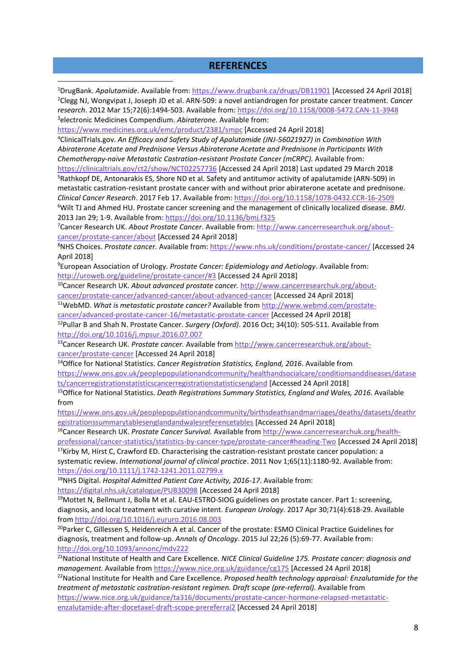#### **REFERENCES**

DrugBank. *Apalutamide*. Available from[: https://www.drugbank.ca/drugs/DB11901](https://www.drugbank.ca/drugs/DB11901) [Accessed 24 April 2018] Clegg NJ, Wongvipat J, Joseph JD et al. ARN-509: a novel antiandrogen for prostate cancer treatment. *Cancer research*. 2012 Mar 15;72(6):1494-503. Available from[: https://doi.org/10.1158/0008-5472.CAN-11-3948](https://doi.org/10.1158/0008-5472.CAN-11-3948) electronic Medicines Compendium. *Abiraterone.* Available from:

<https://www.medicines.org.uk/emc/product/2381/smpc> [Accessed 24 April 2018]

<sup>4</sup>ClinicalTrials.gov. *An Efficacy and Safety Study of Apalutamide (JNJ-56021927) in Combination With Abiraterone Acetate and Prednisone Versus Abiraterone Acetate and Prednisone in Participants With Chemotherapy-naive Metastatic Castration-resistant Prostate Cancer (mCRPC).* Available from:

<https://clinicaltrials.gov/ct2/show/NCT02257736> [Accessed 24 April 2018] Last updated 29 March 2018 <sup>5</sup>Rathkopf DE, Antonarakis ES, Shore ND et al. Safety and antitumor activity of apalutamide (ARN-509) in metastatic castration-resistant prostate cancer with and without prior abiraterone acetate and prednisone. *Clinical Cancer Research*. 2017 Feb 17. Available from:<https://doi.org/10.1158/1078-0432.CCR-16-2509> <sup>6</sup>Wilt TJ and Ahmed HU. Prostate cancer screening and the management of clinically localized disease*. BMJ*.

2013 Jan 29; 1-9. Available from:<https://doi.org/10.1136/bmj.f325>

1

7Cancer Research UK. *About Prostate Cancer*. Available from: [http://www.cancerresearchuk.org/about](http://www.cancerresearchuk.org/about-cancer/prostate-cancer/about)[cancer/prostate-cancer/about](http://www.cancerresearchuk.org/about-cancer/prostate-cancer/about) [Accessed 24 April 2018]

<sup>8</sup>NHS Choices. *Prostate cancer.* Available from:<https://www.nhs.uk/conditions/prostate-cancer/> [Accessed 24 April 2018]

<sup>9</sup>European Association of Urology. *Prostate Cancer: Epidemiology and Aetiology*. Available from: <http://uroweb.org/guideline/prostate-cancer/#3> [Accessed 24 April 2018]

<sup>10</sup>Cancer Research UK. *About advanced prostate cancer.* [http://www.cancerresearchuk.org/about](http://www.cancerresearchuk.org/about-cancer/prostate-cancer/advanced-cancer/about-advanced-cancer)[cancer/prostate-cancer/advanced-cancer/about-advanced-cancer](http://www.cancerresearchuk.org/about-cancer/prostate-cancer/advanced-cancer/about-advanced-cancer) [Accessed 24 April 2018]

<sup>11</sup>WebMD. *What is metastatic prostate cancer?* Available fro[m http://www.webmd.com/prostate-](http://www.webmd.com/prostate-cancer/advanced-prostate-cancer-16/metastatic-prostate-cancer)

[cancer/advanced-prostate-cancer-16/metastatic-prostate-cancer](http://www.webmd.com/prostate-cancer/advanced-prostate-cancer-16/metastatic-prostate-cancer) [Accessed 24 April 2018] <sup>12</sup>Pullar B and Shah N. Prostate Cancer. *Surgery (Oxford)*. 2016 Oct; 34(10): 505-511. Available from <http://doi.org/10.1016/j.mpsur.2016.07.007>

<sup>13</sup>Cancer Research UK. *Prostate cancer.* Available from [http://www.cancerresearchuk.org/about](http://www.cancerresearchuk.org/about-cancer/prostate-cancer)[cancer/prostate-cancer](http://www.cancerresearchuk.org/about-cancer/prostate-cancer) [Accessed 24 April 2018]

<sup>14</sup>Office for National Statistics. *Cancer Registration Statistics, England, 2016*. Available from [https://www.ons.gov.uk/peoplepopulationandcommunity/healthandsocialcare/conditionsanddiseases/datase](https://www.ons.gov.uk/peoplepopulationandcommunity/healthandsocialcare/conditionsanddiseases/datasets/cancerregistrationstatisticscancerregistrationstatisticsengland) [ts/cancerregistrationstatisticscancerregistrationstatisticsengland](https://www.ons.gov.uk/peoplepopulationandcommunity/healthandsocialcare/conditionsanddiseases/datasets/cancerregistrationstatisticscancerregistrationstatisticsengland) [Accessed 24 April 2018]

<sup>15</sup>Office for National Statistics. *Death Registrations Summary Statistics, England and Wales, 2016*. Available from

[https://www.ons.gov.uk/peoplepopulationandcommunity/birthsdeathsandmarriages/deaths/datasets/deathr](https://www.ons.gov.uk/peoplepopulationandcommunity/birthsdeathsandmarriages/deaths/datasets/deathregistrationssummarytablesenglandandwalesreferencetables) [egistrationssummarytablesenglandandwalesreferencetables](https://www.ons.gov.uk/peoplepopulationandcommunity/birthsdeathsandmarriages/deaths/datasets/deathregistrationssummarytablesenglandandwalesreferencetables) [Accessed 24 April 2018]

<sup>16</sup>Cancer Research UK. *Prostate Cancer Survival.* Available from [http://www.cancerresearchuk.org/health](http://www.cancerresearchuk.org/health-professional/cancer-statistics/statistics-by-cancer-type/prostate-cancer#heading-Two)[professional/cancer-statistics/statistics-by-cancer-type/prostate-cancer#heading-Two](http://www.cancerresearchuk.org/health-professional/cancer-statistics/statistics-by-cancer-type/prostate-cancer#heading-Two) [Accessed 24 April 2018]

17Kirby M, Hirst C, Crawford ED. Characterising the castration-resistant prostate cancer population: a systematic review. *International journal of clinical practice*. 2011 Nov 1;65(11):1180-92. Available from: <https://doi.org/10.1111/j.1742-1241.2011.02799.x>

<sup>18</sup>NHS Digital. *Hospital Admitted Patient Care Activity, 2016-17*. Available from:

<https://digital.nhs.uk/catalogue/PUB30098> [Accessed 24 April 2018]

 $19$ Mottet N, Bellmunt J, Bolla M et al. EAU-ESTRO-SIOG guidelines on prostate cancer. Part 1: screening, diagnosis, and local treatment with curative intent. *European Urology*. 2017 Apr 30;71(4):618-29. Available from<http://doi.org/10.1016/j.eururo.2016.08.003>

<sup>20</sup>Parker C, Gillessen S, Heidenreich A et al. Cancer of the prostate: ESMO Clinical Practice Guidelines for diagnosis, treatment and follow-up. *Annals of Oncology*. 2015 Jul 22;26 (5):69-77. Available from: <http://doi.org/10.1093/annonc/mdv222>

<sup>21</sup>National Institute of Health and Care Excellence. *NICE Clinical Guideline 175. Prostate cancer: diagnosis and management.* Available fro[m https://www.nice.org.uk/guidance/cg175](https://www.nice.org.uk/guidance/cg175) [Accessed 24 April 2018] <sup>22</sup>National Institute for Health and Care Excellence. *Proposed health technology appraisal: Enzalutamide for the treatment of metastatic castration-resistant regimen. Draft scope (pre-referral).* Available from [https://www.nice.org.uk/guidance/ta316/documents/prostate-cancer-hormone-relapsed-metastatic-](https://www.nice.org.uk/guidance/ta316/documents/prostate-cancer-hormone-relapsed-metastatic-enzalutamide-after-docetaxel-draft-scope-prereferral2)

[enzalutamide-after-docetaxel-draft-scope-prereferral2](https://www.nice.org.uk/guidance/ta316/documents/prostate-cancer-hormone-relapsed-metastatic-enzalutamide-after-docetaxel-draft-scope-prereferral2) [Accessed 24 April 2018]